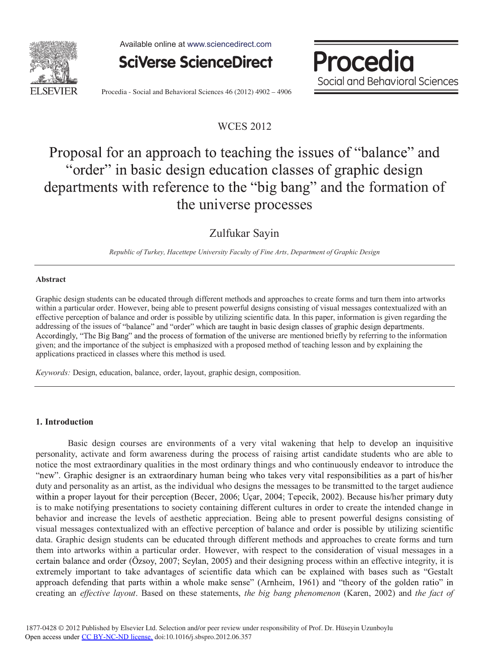

Available online at www.sciencedirect.com



Procedia Social and Behavioral Sciences

Procedia - Social and Behavioral Sciences 46 (2012) 4902 - 4906

## WCES 2012

# Proposal for an approach to teaching the issues of "balance" and "order" in basic design education classes of graphic design departments with reference to the "big bang" and the formation of the universe processes

Zulfukar Sayin

*Republic of Turkey, Hacettepe University Faculty of Fine Arts, Department of Graphic Design* 

#### **Abstract**

Graphic design students can be educated through different methods and approaches to create forms and turn them into artworks within a particular order. However, being able to present powerful designs consisting of visual messages contextualized with an effective perception of balance and order is possible by utilizing scientific data. In this paper, information is given regarding the addressing of the issues of "balance" and "order" which are taught in basic design classes of graphic design departments. Accordingly, "The Big Bang" and the process of formation of the universe are mentioned briefly by referring to the information given; and the importance of the subject is emphasized with a proposed method of teaching lesson and by explaining the applications practiced in classes where this method is used.

*Keywords:* Design, education, balance, order, layout, graphic design, composition.

#### **1. Introduction**

Basic design courses are environments of a very vital wakening that help to develop an inquisitive personality, activate and form awareness during the process of raising artist candidate students who are able to notice the most extraordinary qualities in the most ordinary things and who continuously endeavor to introduce the "new". Graphic designer is an extraordinary human being who takes very vital responsibilities as a part of his/her duty and personality as an artist, as the individual who designs the messages to be transmitted to the target audience within a proper layout for their perception (Becer, 2006; Uçar, 2004; Tepecik, 2002). Because his/her primary duty is to make notifying presentations to society containing different cultures in order to create the intended change in behavior and increase the levels of aesthetic appreciation. Being able to present powerful designs consisting of visual messages contextualized with an effective perception of balance and order is possible by utilizing scientific data. Graphic design students can be educated through different methods and approaches to create forms and turn them into artworks within a particular order. However, with respect to the consideration of visual messages in a certain balance and order (Özsoy, 2007; Seylan, 2005) and their designing process within an effective integrity, it is extremely important to take advantages of scientific data which can be explained with bases such as "Gestalt approach defending that parts within a whole make sense" (Arnheim, 1961) and "theory of the golden ratio" in creating an *effective layout*. Based on these statements, *the big bang phenomenon* (Karen, 2002) and *the fact of*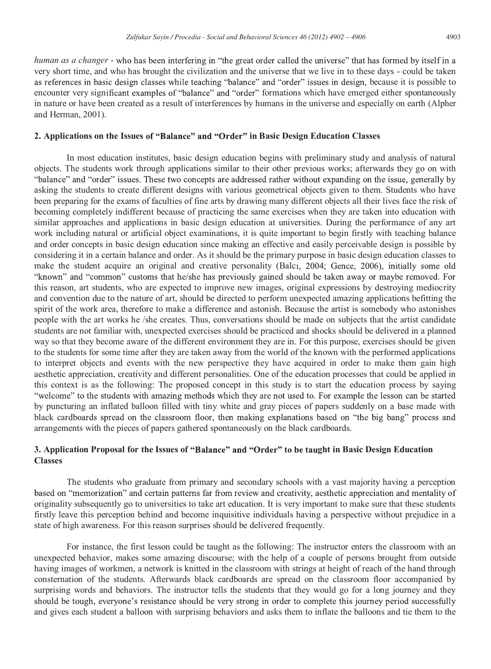*human as a changer* - who has been interfering in "the great order called the universe" that has formed by itself in a very short time, and who has brought the civilization and the universe that we live in to these days - could be taken as references in basic design classes while teaching "balance" and "order" issues in design, because it is possible to encounter very significant examples of "balance" and "order" formations which have emerged either spontaneously in nature or have been created as a result of interferences by humans in the universe and especially on earth (Alpher and Herman, 2001).

### 2. Applications on the Issues of "Balance" and "Order" in Basic Design Education Classes

In most education institutes, basic design education begins with preliminary study and analysis of natural objects. The students work through applications similar to their other previous works; afterwards they go on with "balance" and "order" issues. These two concepts are addressed rather without expanding on the issue, generally by asking the students to create different designs with various geometrical objects given to them. Students who have been preparing for the exams of faculties of fine arts by drawing many different objects all their lives face the risk of becoming completely indifferent because of practicing the same exercises when they are taken into education with similar approaches and applications in basic design education at universities. During the performance of any art work including natural or artificial object examinations, it is quite important to begin firstly with teaching balance and order concepts in basic design education since making an effective and easily perceivable design is possible by considering it in a certain balance and order. As it should be the primary purpose in basic design education classes to make the student acquire an original and creative personality (Balci, 2004; Gence, 2006), initially some old "known" and "common" customs that he/she has previously gained should be taken away or maybe removed. For this reason, art students, who are expected to improve new images, original expressions by destroying mediocrity and convention due to the nature of art, should be directed to perform unexpected amazing applications befitting the spirit of the work area, therefore to make a difference and astonish. Because the artist is somebody who astonishes people with the art works he /she creates. Thus, conversations should be made on subjects that the artist candidate students are not familiar with, unexpected exercises should be practiced and shocks should be delivered in a planned way so that they become aware of the different environment they are in. For this purpose, exercises should be given to the students for some time after they are taken away from the world of the known with the performed applications to interpret objects and events with the new perspective they have acquired in order to make them gain high aesthetic appreciation, creativity and different personalities. One of the education processes that could be applied in this context is as the following: The proposed concept in this study is to start the education process by saying "welcome" to the students with amazing methods which they are not used to. For example the lesson can be star by puncturing an inflated balloon filled with tiny white and gray pieces of papers suddenly on a base made with black cardboards spread on the classroom floor, then making explanations based on "the big bang" process and arrangements with the pieces of papers gathered spontaneously on the black cardboards.

### **3.** Application Proposal for the Issues of "Balance" and "Order" to be taught in Basic Design Education **Classes**

The students who graduate from primary and secondary schools with a vast majority having a perception based on "memorization" and certain patterns far from review and creativity, aesthetic appreciation and mentality of originality subsequently go to universities to take art education. It is very important to make sure that these students firstly leave this perception behind and become inquisitive individuals having a perspective without prejudice in a state of high awareness. For this reason surprises should be delivered frequently.

For instance, the first lesson could be taught as the following: The instructor enters the classroom with an unexpected behavior, makes some amazing discourse; with the help of a couple of persons brought from outside having images of workmen, a network is knitted in the classroom with strings at height of reach of the hand through consternation of the students. Afterwards black cardboards are spread on the classroom floor accompanied by surprising words and behaviors. The instructor tells the students that they would go for a long journey and they should be tough, everyone's resistance should be very strong in order to complete this journey period successfully and gives each student a balloon with surprising behaviors and asks them to inflate the balloons and tie them to the